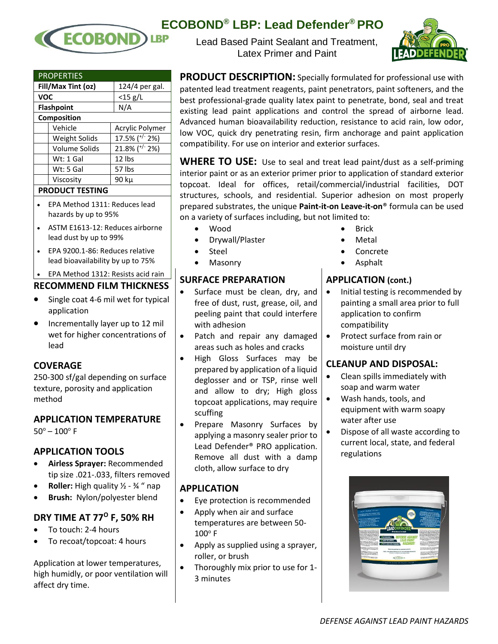

| ECOBOND® LBP: Lead Defender® PRO |  |  |  |  |
|----------------------------------|--|--|--|--|
|----------------------------------|--|--|--|--|

Lead Based Paint Sealant and Treatment, Latex Primer and Paint



**PRODUCT DESCRIPTION:** Specially formulated for professional use with patented lead treatment reagents, paint penetrators, paint softeners, and the best professional-grade quality latex paint to penetrate, bond, seal and treat existing lead paint applications and control the spread of airborne lead. Advanced human bioavailability reduction, resistance to acid rain, low odor, low VOC, quick dry penetrating resin, firm anchorage and paint application compatibility. For use on interior and exterior surfaces.

**WHERE TO USE:** Use to seal and treat lead paint/dust as a self-priming interior paint or as an exterior primer prior to application of standard exterior topcoat. Ideal for offices, retail/commercial/industrial facilities, DOT structures, schools, and residential. Superior adhesion on most properly prepared substrates, the unique **Paint-it-on Leave-it-on**® formula can be used on a variety of surfaces including, but not limited to:

- Wood
- Drywall/Plaster
- Steel
- Masonry

### **SURFACE PREPARATION**

- Surface must be clean, dry, and free of dust, rust, grease, oil, and peeling paint that could interfere with adhesion
- Patch and repair any damaged areas such as holes and cracks
- High Gloss Surfaces may be prepared by application of a liquid deglosser and or TSP, rinse well and allow to dry; High gloss topcoat applications, may require scuffing
- Prepare Masonry Surfaces by applying a masonry sealer prior to Lead Defender® PRO application. Remove all dust with a damp cloth, allow surface to dry

#### **APPLICATION**

- Eye protection is recommended
- Apply when air and surface temperatures are between 50-  $100^{\circ}$  F
- Apply as supplied using a sprayer, roller, or brush
- Thoroughly mix prior to use for 1- 3 minutes
- Brick
- Metal
- Concrete
- Asphalt

# **APPLICATION (cont.)**

- Initial testing is recommended by painting a small area prior to full application to confirm compatibility
- Protect surface from rain or moisture until dry

# **CLEANUP AND DISPOSAL:**

- Clean spills immediately with soap and warm water
- Wash hands, tools, and equipment with warm soapy water after use
- Dispose of all waste according to current local, state, and federal regulations



|                    | <b>PROPERTIES</b> |                     |  |  |  |
|--------------------|-------------------|---------------------|--|--|--|
| Fill/Max Tint (oz) |                   | 124/4 per gal.      |  |  |  |
| <b>VOC</b>         |                   | $<$ 15 g/L          |  |  |  |
| <b>Flashpoint</b>  |                   | N/A                 |  |  |  |
| Composition        |                   |                     |  |  |  |
|                    | Vehicle           | Acrylic Polymer     |  |  |  |
|                    | Weight Solids     | 17.5% ( $^{+/}$ 2%) |  |  |  |
|                    | Volume Solids     | 21.8% ( $+/-$ 2%)   |  |  |  |
|                    | Wt: 1 Gal         | 12 lbs              |  |  |  |
|                    | Wt: 5 Gal         | 57 lbs              |  |  |  |
|                    | Viscosity         | 90 ku               |  |  |  |
|                    |                   |                     |  |  |  |

# **PRODUCT TESTING**

- EPA Method 1311: Reduces lead hazards by up to 95%
- ASTM E1613-12: Reduces airborne lead dust by up to 99%
- EPA 9200.1-86: Reduces relative lead bioavailability by up to 75%
- EPA Method 1312: Resists acid rain

### **RECOMMEND FILM THICKNESS**

- Single coat 4-6 mil wet for typical application
- Incrementally layer up to 12 mil wet for higher concentrations of lead

#### **COVERAGE**

250-300 sf/gal depending on surface texture, porosity and application method

#### **APPLICATION TEMPERATURE**  $50^{\circ} - 100^{\circ}$  F

# **APPLICATION TOOLS**

- **Airless Sprayer:** Recommended tip size .021-.033, filters removed
- **Roller:** High quality ½ ¾ " nap
- **Brush:** Nylon/polyester blend

# **DRY TIME AT 77<sup>O</sup> F, 50% RH**

- To touch: 2-4 hours
- To recoat/topcoat: 4 hours

Application at lower temperatures, high humidly, or poor ventilation will affect dry time.